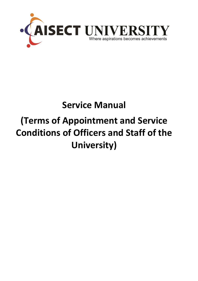

# **Service Manual (Terms of Appointment and Service Conditions of Officers and Staff of the University)**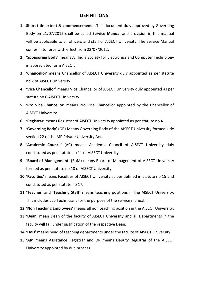### **DEFINITIONS**

- **1. Short title extent & commencement** This document duly approved by Governing Body on 21/07/2012 shall be called **Service Manual** and provision in this manual will be applicable to all officers and staff of AISECT University. The Service Manual comes in to force with effect from 22/07/2012.
- **2. 'Sponsoring Body'** means All India Society for Electronics and Computer Technology in abbreviated form AISECT.
- **3. 'Chancellor'** means Chancellor of AISECT University duly appointed as per statute no 2 of AISECT University
- **4. 'Vice Chancellor'** means Vice Chancellor of AISECT University duly appointed as per statute no 6 AISECT University
- **5. 'Pro Vice Chancellor'** means Pro Vice Chancellor appointed by the Chancellor of AISECT University.
- **6. 'Registrar'** means Registrar of AISECT University appointed as per statute no 4
- **7. 'Governing Body'** (GB) Means Governing Body of the AISECT University formed vide section 22 of the MP Private University Act.
- **8. 'Academic Council'** (AC) means Academic Council of AISECT University duly constituted as per statute no 11 of AISECT University.
- **9. 'Board of Management'** (BoM) means Board of Management of AISECT University formed as per statute no 10 of AISECT University.
- **10.'Faculties'** means Faculties of AISECT University as per defined in statute no 15 and constituted as per statute no 17.
- **11.'Teacher'** and **'Teaching Staff'** means teaching positions in the AISECT University. This includes Lab Technicians for the purpose of the service manual.
- **12.'Non Teaching Employees'** means all non teaching position in the AISECT University.
- **13.'Dean'** mean Dean of the faculty of AISECT University and all Departments in the faculty will fall under justification of the respective Dean.
- 14. 'HoD' means head of teaching departments under the faculty of AISECT University.
- **15.'AR'** means Assistance Registrar and DR means Deputy Registrar of the AISECT University appointed by due process.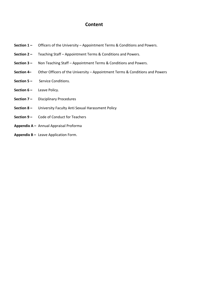### **Content**

- **Section 1 –** Officers of the University Appointment Terms & Conditions and Powers.
- **Section 2 –** Teaching Staff Appointment Terms & Conditions and Powers.
- **Section 3 –** Non Teaching Staff Appointment Terms & Conditions and Powers.
- **Section 4–** Other Officers of the University Appointment Terms & Conditions and Powers
- **Section 5 –** Service Conditions.
- **Section 6 –** Leave Policy.
- **Section 7 –** Disciplinary Procedures
- **Section 8 –** University Faculty Anti Sexual Harassment Policy
- **Section 9 –** Code of Conduct for Teachers
- **Appendix A –** Annual Appraisal Proforma
- **Appendix B –** Leave Application Form.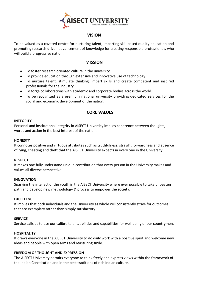

### **VISION**

To be valued as a coveted centre for nurturing talent, imparting skill based quality education and promoting research driven advancement of knowledge for creating responsible professionals who will build a progressive nation.

#### **MISSION**

- To foster research oriented culture in the university.
- To provide education through extensive and innovative use of technology
- To nurture talent, stimulate thinking, impart skills and create competent and inspired professionals for the industry.
- To forge collaborations with academic and corporate bodies across the world.
- To be recognized as a premium national university providing dedicated services for the social and economic development of the nation.

### **CORE VALUES**

#### **INTEGRITY**

Personal and institutional integrity in AISECT University implies coherence between thoughts, words and action in the best interest of the nation.

#### **HONESTY**

It connotes positive and virtuous attributes such as truthfulness, straight forwardness and absence of lying, cheating and theft that the AISECT University expects in every one in the University.

#### **RESPECT**

It makes one fully understand unique contribution that every person in the University makes and values all diverse perspective.

#### **INNOVATION**

Sparking the intellect of the youth in the AISECT University where ever possible to take unbeaten path and develop new methodology & process to empower the society.

#### **EXCELLENCE**

It implies that both individuals and the University as whole will consistently strive for outcomes that are exemplary rather than simply satisfactory.

#### **SERVICE**

Service calls us to use our calibre talent, abilities and capabilities for well being of our countrymen.

#### **HOSPITALITY**

It draws everyone in the AISECT University to do daily work with a positive spirit and welcome new ideas and people with open arms and reassuring smile.

#### **FREEDOM OF THOUGHT AND EXPRESSION**

The AISECT University permits everyone to think freely and express views within the framework of the Indian Constitution and in the best traditions of rich Indian culture.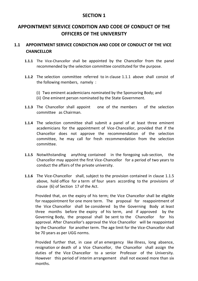# **APPOINTMENT SERVICE CONDITION AND CODE OF CONDUCT OF THE OFFICERS OF THE UNIVERSITY**

# **1.1 APPOINTMENT SERVICE CONDICTION AND CODE OF CONDUCT OF THE VICE CHANCELLOR**

- **1.1.1** The Vice-Chancellor shall be appointed by the Chancellor from the panel recommended by the selection committee constituted for the purpose.
- **1.1.2** The selection committee referred to in clause 1.1.1 above shall consist of the following members, namely :
	- (i) Two eminent academicians nominated by the Sponsoring Body; and
	- (ii) One eminent person nominated by the State Government.
- **1.1.3** The Chancellor shall appoint one of the members of the selection committee as Chairman.
- **1.1.4** The selection committee shall submit a panel of at least three eminent academicians for the appointment of Vice-Chancellor, provided that if the Chancellor does not approve the recommendation of the selection committee, he may call for fresh recommendation from the selection committee.
- **1.1.5** Notwithstanding anything contained in the foregoing sub-section, the Chancellor may appoint the first Vice-Chancellor for a period of two years to conduct the affairs of the private university.
- **1.1.6** The Vice-Chancellor shall, subject to the provision contained in clause 1.1.5 above, hold office for a term of four years according to the provisions of clause (6) of Section 17 of the Act.

Provided that, on the expiry of his term; the Vice Chancellor shall be eligible for reappointment for one more term. The proposal for reappointment of the Vice Chancellor shall be considered by the Governing Body at least three months before the expiry of his term, and if approved by the Governing Body, the proposal shall be sent to the Chancellor for his approval. After Chancellor's approval the Vice Chancellor will be reappointed by the Chancellor for another term. The age limit for the Vice-Chancellor shall be 70 years as per UGG norms.

Provided further that, in case of an emergency like illness, long absence, resignation or death of a Vice Chancellor, the Chancellor shall assign the duties of the Vice Chancellor to a senior Professor of the University. However this period of interim arrangement shall not exceed more than six months.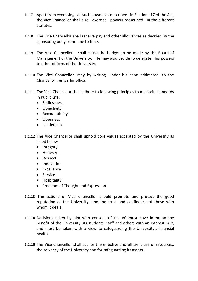- **1.1.7** Apart from exercising all such powers as described in Section 17 of the Act, the Vice Chancellor shall also exercise powers prescribed in the different Statutes.
- **1.1.8** The Vice Chancellor shall receive pay and other allowances as decided by the sponsoring body from time to time.
- **1.1.9** The Vice Chancellor shall cause the budget to be made by the Board of Management of the University. He may also decide to delegate his powers to other officers of the University.
- **1.1.10** The Vice Chancellor may by writing under his hand addressed to the Chancellor, resign his office.
- **1.1.11** The Vice Chancellor shall adhere to following principles to maintain standards in Public Life.
	- Selflessness
	- Objectivity
	- Accountability
	- Openness
	- Leadership
- **1.1.12** The Vice Chancellor shall uphold core values accepted by the University as listed below
	- Integrity
	- Honesty
	- Respect
	- Innovation
	- Excellence
	- Service
	- Hospitality
	- Freedom of Thought and Expression
- **1.1.13** The actions of Vice Chancellor should promote and protect the good reputation of the University, and the trust and confidence of those with whom it deals
- **1.1.14** Decisions taken by him with consent of the VC must have intention the benefit of the University, its students, staff and others with an interest in it, and must be taken with a view to safeguarding the University's financial health.
- **1.1.15** The Vice Chancellor shall act for the effective and efficient use of resources, the solvency of the University and for safeguarding its assets.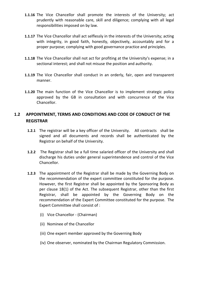- **1.1.16** The Vice Chancellor shall promote the interests of the University; act prudently with reasonable care, skill and diligence; complying with all legal responsibilities imposed on by law.
- **1.1.17** The Vice Chancellor shall act selflessly in the interests of the University; acting with integrity, in good faith, honestly, objectively, accountably and for a proper purpose; complying with good governance practice and principles.
- **1.1.18** The Vice Chancellor shall not act for profiting at the University's expense; in a sectional interest; and shall not misuse the position and authority.
- **1.1.19** The Vice Chancellor shall conduct in an orderly, fair, open and transparent manner.
- **1.1.20** The main function of the Vice Chancellor is to implement strategic policy approved by the GB in consultation and with concurrence of the Vice Chancellor.

# **1.2 APPOINTMENT, TERMS AND CONDITIONS AND CODE OF CONDUCT OF THE REGISTRAR**

- **1.2.1** The registrar will be a key officer of the University. All contracts shall be signed and all documents and records shall be authenticated by the Registrar on behalf of the University.
- **1.2.2** The Registrar shall be a full time salaried officer of the University and shall discharge his duties under general superintendence and control of the Vice Chancellor.
- **1.2.3** The appointment of the Registrar shall be made by the Governing Body on the recommendation of the expert committee constituted for the purpose. However, the first Registrar shall be appointed by the Sponsoring Body as per clause 18(1) of the Act. The subsequent Registrar, other than the first Registrar, shall be appointed by the Governing Body on the recommendation of the Expert Committee constituted for the purpose. The Expert Committee shall consist of :
	- (i) Vice Chancellor (Chairman)
	- (ii) Nominee of the Chancellor
	- (iii) One expert member approved by the Governing Body
	- (iv) One observer, nominated by the Chairman Regulatory Commission.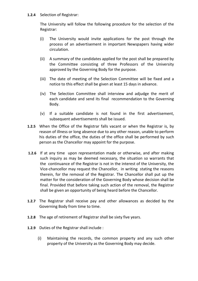#### **1.2.4** Selection of Registrar:

The University will follow the following procedure for the selection of the Registrar:

- (i) The University would invite applications for the post through the process of an advertisement in important Newspapers having wider circulation.
- (ii) A summary of the candidates applied for the post shall be prepared by the Committee consisting of three Professors of the University approved by the Governing Body for the purpose.
- (iii) The date of meeting of the Selection Committee will be fixed and a notice to this effect shall be given at least 15 days in advance.
- (iv) The Selection Committee shall interview and adjudge the merit of each candidate and send its final recommendation to the Governing Body.
- (v) If a suitable candidate is not found in the first advertisement, subsequent advertisements shall be issued.
- **1.2.5** When the Office of the Registrar falls vacant or when the Registrar is, by reason of illness or long absence due to any other reason, unable to perform his duties of the office, the duties of the office shall be performed by such person as the Chancellor may appoint for the purpose.
- **1.2.6** If at any time upon representation made or otherwise, and after making such inquiry as may be deemed necessary, the situation so warrants that the continuance of the Registrar is not in the interest of the University, the Vice-chancellor may request the Chancellor, in writing stating the reasons therein, for the removal of the Registrar. The Chancellor shall put up the matter for the consideration of the Governing Body whose decision shall be final. Provided that before taking such action of the removal, the Registrar shall be given an opportunity of being heard before the Chancellor.
- **1.2.7** The Registrar shall receive pay and other allowances as decided by the Governing Body from time to time.
- **1.2.8** The age of retirement of Registrar shall be sixty five years.
- **1.2.9** Duties of the Registrar shall include :
	- (i) Maintaining the records, the common property and any such other property of the University as the Governing Body may decide.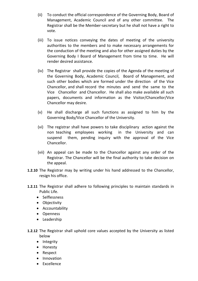- (ii) To conduct the official correspondence of the Governing Body, Board of Management, Academic Council and of any other committee. The Registrar shall be the Member-secretary but he shall not have a right to vote.
- (iii) To issue notices conveying the dates of meeting of the university authorities to the members and to make necessary arrangements for the conduction of the meeting and also for other assigned duties by the Governing Body I Board of Management from time to time. He will render desired assistance.
- (iv) The Registrar shall provide the copies of the Agenda of the meeting of the Governing Body, Academic Council, Board of Management, and such other bodies which are formed under the direction of the Vice Chancellor, and shall record the minutes and send the same to the Vice Chancellor and Chancellor. He shall also make available all such papers, documents and information as the Visitor/Chancellor/Vice Chancellor may desire.
- (v) He shall discharge all such functions as assigned to him by the Governing Body/Vice Chancellor of the University.
- (vi) The registrar shall have powers to take disciplinary action against the non teaching employees working in the University and can suspend them, pending inquiry with the approval of the Vice Chancellor.
- (vii) An appeal can be made to the Chancellor against any order of the Registrar. The Chancellor will be the final authority to take decision on the appeal.
- **1.2.10** The Registrar may by writing under his hand addressed to the Chancellor, resign his office.
- **1.2.11** The Registrar shall adhere to following principles to maintain standards in Public Life.
	- Selflessness
	- Objectivity
	- Accountability
	- Openness
	- Leadership
- **1.2.12** The Registrar shall uphold core values accepted by the University as listed below
	- Integrity
	- Honesty
	- Respect
	- Innovation
	- Excellence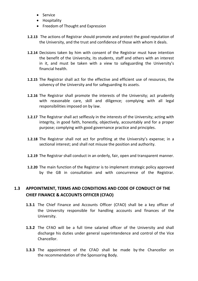- Service
- Hospitality
- Freedom of Thought and Expression
- **1.2.13** The actions of Registrar should promote and protect the good reputation of the University, and the trust and confidence of those with whom it deals.
- **1.2.14** Decisions taken by him with consent of the Registrar must have intention the benefit of the University, its students, staff and others with an interest in it, and must be taken with a view to safeguarding the University's financial health.
- **1.2.15** The Registrar shall act for the effective and efficient use of resources, the solvency of the University and for safeguarding its assets.
- **1.2.16** The Registrar shall promote the interests of the University; act prudently with reasonable care, skill and diligence; complying with all legal responsibilities imposed on by law.
- **1.2.17** The Registrar shall act selflessly in the interests of the University; acting with integrity, in good faith, honestly, objectively, accountably and for a proper purpose; complying with good governance practice and principles.
- **1.2.18** The Registrar shall not act for profiting at the University's expense; in a sectional interest; and shall not misuse the position and authority.
- **1.2.19** The Registrar shall conduct in an orderly, fair, open and transparent manner.
- **1.2.20** The main function of the Registrar is to implement strategic policy approved by the GB in consultation and with concurrence of the Registrar.

# **1.3 APPOINTMENT, TERMS AND CONDITIONS AND CODE OF CONDUCT OF THE CHIEF FINANCE & ACCOUNTS OFFICER (CFAO)**

- **1.3.1** The Chief Finance and Accounts Officer (CFAO) shall be a key officer of the University responsible for handling accounts and finances of the University.
- **1.3.2** The CFAO will be a full time salaried officer of the University and shall discharge his duties under general superintendence and control of the Vice Chancellor.
- **1.3.3** The appointment of the CFAO shall be made by the Chancellor on the recommendation of the Sponsoring Body.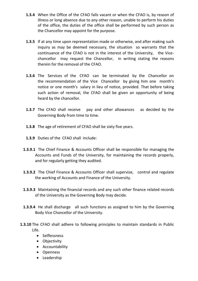- **1.3.4** When the Office of the CFAO falls vacant or when the CFAO is, by reason of illness or long absence due to any other reason, unable to perform his duties of the office, the duties of the office shall be performed by such person as the Chancellor may appoint for the purpose.
- **1.3.5** If at any time upon representation made or otherwise, and after making such inquiry as may be deemed necessary, the situation so warrants that the continuance of the CFAO is not in the interest of the University, the Vicechancellor may request the Chancellor, in writing stating the reasons therein for the removal of the CFAO.
- **1.3.6** The Services of the CFAO can be terminated by the Chancellor on the recommendation of the Vice Chancellor by giving him one month's notice or one month's salary in lieu of notice, provided. That before taking such action of removal, the CFAO shall be given an opportunity of being heard by the chancellor.
- **1.3.7** The CFAO shall receive pay and other allowances as decided by the Governing Body from time to time.
- **1.3.8** The age of retirement of CFAO shall be sixty five years.
- **1.3.9** Duties of the CFAO shall include:
- **1.3.9.1** The Chief Finance & Accounts Officer shall be responsible for managing the Accounts and Funds of the University, for maintaining the records properly, and for regularly getting they audited.
- **1.3.9.2** The Chief Finance & Accounts Officer shall supervise, control and regulate the working of Accounts and Finance of the University.
- **1.3.9.3** Maintaining the financial records and any such other finance related records of the University as the Governing Body may decide.
- **1.3.9.4** He shall discharge all such functions as assigned to him by the Governing Body Vice Chancellor of the University.
- **1.3.10** The CFAO shall adhere to following principles to maintain standards in Public Life.
	- Selflessness
	- Objectivity
	- Accountability
	- Openness
	- Leadership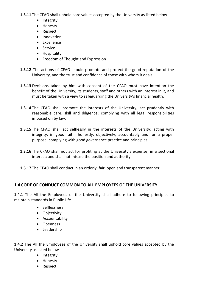**1.3.11** The CFAO shall uphold core values accepted by the University as listed below

- Integrity
- Honesty
- Respect
- Innovation
- Excellence
- Service
- Hospitality
- Freedom of Thought and Expression
- **1.3.12** The actions of CFAO should promote and protect the good reputation of the University, and the trust and confidence of those with whom it deals.
- **1.3.13** Decisions taken by him with consent of the CFAO must have intention the benefit of the University, its students, staff and others with an interest in it, and must be taken with a view to safeguarding the University's financial health.
- **1.3.14** The CFAO shall promote the interests of the University; act prudently with reasonable care, skill and diligence; complying with all legal responsibilities imposed on by law.
- **1.3.15** The CFAO shall act selflessly in the interests of the University; acting with integrity, in good faith, honestly, objectively, accountably and for a proper purpose; complying with good governance practice and principles.
- **1.3.16** The CFAO shall not act for profiting at the University's expense; in a sectional interest; and shall not misuse the position and authority.
- **1.3.17** The CFAO shall conduct in an orderly, fair, open and transparent manner.

### **1.4 CODE OF CONDUCT COMMON TO ALL EMPLOYEES OF THE UNIVERSITY**

**1.4.1** The All the Employees of the University shall adhere to following principles to maintain standards in Public Life.

- Selflessness
- Objectivity
- Accountability
- Openness
- Leadership

**1.4.2** The All the Employees of the University shall uphold core values accepted by the University as listed below

- Integrity
- Honesty
- Respect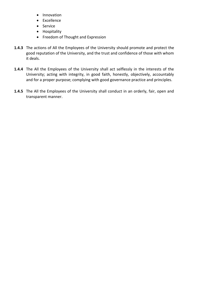- Innovation
- Excellence
- Service
- Hospitality
- Freedom of Thought and Expression
- **1.4.3** The actions of All the Employees of the University should promote and protect the good reputation of the University, and the trust and confidence of those with whom it deals.
- **1.4.4** The All the Employees of the University shall act selflessly in the interests of the University; acting with integrity, in good faith, honestly, objectively, accountably and for a proper purpose; complying with good governance practice and principles.
- **1.4.5** The All the Employees of the University shall conduct in an orderly, fair, open and transparent manner.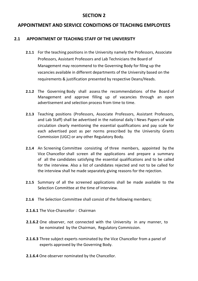# **APPOINTMENT AND SERVICE CONDITIONS OF TEACHING EMPLOYEES**

### **2.1 APPOINTMENT OF TEACHING STAFF OF THE UNIVERSITY**

- **2.1.1** For the teaching positions in the University namely the Professors, Associate Professors, Assistant Professors and Lab Technicians the Board of Management may recommend to the Governing Body for filing up the vacancies available in different departments of the University based on the requirements & justification presented by respective Deans/Heads.
- **2.1.2** The Governing Body shall assess the recommendations of the Board of Management and approve filling up of vacancies through an open advertisement and selection process from time to time.
- **2.1.3** Teaching positions (Professors, Associate Professors, Assistant Professors, and Lab Staff) shall be advertised in the national daily I News Papers of wide circulation clearly mentioning the essential qualifications and pay scale for each advertised post as per norms prescribed by the University Grants Commission (UGC) or any other Regulatory Body.
- **2.1.4** An Screening Committee consisting of three members, appointed by the Vice Chancellor shall screen all the applications and prepare a summary of all the candidates satisfying the essential qualifications and to be called for the interview. Also a list of candidates rejected and not to be called for the interview shall he made separately giving reasons for the rejection.
- **2.1.5** Summary of all the screened applications shall be made available to the Selection Committee at the time of interview.
- **2.1.6** The Selection Committee shall consist of the following members;
- **2.1.6.1** The Vice-Chancellor : Chairman
- **2.1.6.2** One observer, not connected with the University in any manner, to be nominated by the Chairman, Regulatory Commission.
- **2.1.6.3** Three subject experts nominated by the Vice Chancellor from a panel of experts approved by the Governing Body.
- **2.1.6.4** One observer nominated by the Chancellor.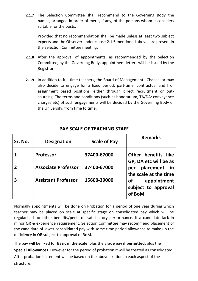**2.1.7** The Selection Committee shall recommend to the Governing Body the names, arranged in order of merit, if any, of the persons whom it considers suitable for the posts.

Provided that no recommendation shall be made unless at least two subject experts and the Observer under clause 2.1.6 mentioned above, are present in the Selection Committee meeting.

- **2.1.8** After the approval of appointments, as recommended by the Selection Committee, by the Governing Body, appointment letters will be issued by the Registrar.
- **2.1.9** In addition to full-time teachers, the Board of Management I Chancellor may also decide to engage for a fixed period, part-time, contractual and I or assignment based positions, either through direct recruitment or outsourcing. The terms and conditions (such as honorarium, TA/DA: conveyance charges etc) of such engagements will be decided by the Governing Body of the University, from time to time.

| Sr. No.        | <b>Designation</b>         | <b>Scale of Pay</b> | <b>Remarks</b>                                                                                                                                     |
|----------------|----------------------------|---------------------|----------------------------------------------------------------------------------------------------------------------------------------------------|
|                | <b>Professor</b>           | 37400-67000         | Other benefits like<br>GP, DA etc will be as<br>placement in<br>per<br>the scale at the time<br>appointment<br>of<br>subject to approval<br>of BoM |
| $\overline{2}$ | <b>Associate Professor</b> | 37400-67000         |                                                                                                                                                    |
| 3              | <b>Assistant Professor</b> | 15600-39000         |                                                                                                                                                    |

# **PAY SCALE OF TEACHING STAFF**

Normally appointments will be done on Probation for a period of one year during which teacher may be placed on scale at specific stage on consolidated pay which will be regularised for other benefits/perks on satisfactory performance. If a candidate lack in minor QR & experience requirement, Selection Committee may recommend placement of the candidate of lower consolidated pay with some time period allowance to make up the deficiency in QR subject to approval of BoM.

The pay will be fixed for **Basic in the scale,** plus the **grade pay if permitted,** plus the **Special Allowances**. However for the period of probation it will be treated as consolidated. After probation increment will be based on the above fixation in each aspect of the structure.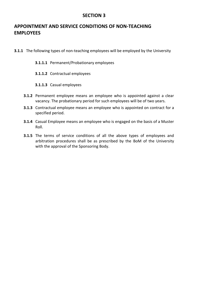# **APPOINTMENT AND SERVICE CONDITIONS OF NON-TEACHING EMPLOYEES**

- **3.1.1** The following types of non-teaching employees will be employed by the University
	- **3.1.1.1** Permanent/Probationary employees
	- **3.1.1.2** Contractual employees
	- **3.1.1.3** Casual employees
	- **3.1.2** Permanent employee means an employee who is appointed against a clear vacancy. The probationary period for such employees will be of two years.
	- **3.1.3** Contractual employee means an employee who is appointed on contract for a specified period.
	- **3.1.4** Casual Employee means an employee who is engaged on the basis of a Muster Roll.
	- **3.1.5** The terms of service conditions of all the above types of employees and arbitration procedures shall be as prescribed by the BoM of the University with the approval of the Sponsoring Body.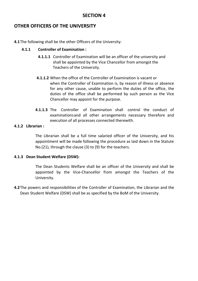# **OTHER OFFICERS OF THE UNIVERSITY**

**4.1**The following shall be the other Officers of the University:

### **4.1.1 Controller of Examination :**

- **4.1.1.1** Controller of Examination will be an officer of the university and shall be appointed by the Vice Chancellor from amongst the Teachers of the University.
- **4.1.1.2** When the office of the Controller of Examination is vacant or when the Controller of Examination is, by reason of illness or absence for any other cause, unable to perform the duties of the office, the duties of the office shall be performed by such person as the Vice Chancellor may appoint for the purpose.
- **4.1.1.3** The Controller of Examination shall control the conduct of examinationsand all other arrangements necessary therefore and execution of all processes connected therewith.

### **4.1.2 Librarian :**

The Librarian shall be a full time salaried officer of the University, and his appointment will be made following the procedure as laid down in the Statute No.(21), through the clause (3) to (9) for the teachers.

### **4.1.3 Dean Student Welfare (DSW):**

The Dean Students Welfare shall be an officer of the University and shall be appointed by the Vice-Chancellor from amongst the Teachers of the University.

**4.2**The powers and responsibilities of the Controller of Examination, the Librarian and the Dean Student Welfare (DSW) shall be as specified by the BoM of the University.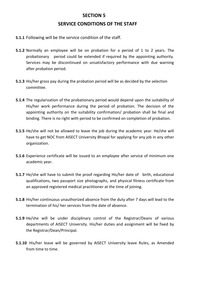# **SECTION 5 SERVICE CONDITIONS OF THE STAFF**

- **5.1.1** Following will be the service condition of the staff.
- **5.1.2** Normally an employee will be on probation for a period of 1 to 2 years. The probationary period could be extended if required by the appointing authority. Services may be discontinued on unsatisfactory performance with due warning after probation period.
- **5.1.3** His/her gross pay during the probation period will be as decided by the selection committee.
- **5.1.4** The regularization of the probationary period would depend upon the suitability of His/her work performance during the period of probation. The decision of the appointing authority on the suitability confirmation/ probation shall be final and binding. There is no right with period to be confirmed on completion of probation.
- **5.1.5** He/she will not be allowed to leave the job during the academic year. He/she will have to get NOC from AISECT University Bhopal for applying for any job in any other organization.
- **5.1.6** Experience certificate will be issued to an employee after service of minimum one academic year.
- **5.1.7** He/she will have to submit the proof regarding His/her date of birth, educational qualifications, two passport size photographs, and physical fitness certificate from an approved registered medical practitioner at the time of joining.
- **5.1.8** His/her continuous unauthorized absence from the duty after 7 days will lead to the termination of his/ her services from the date of absence.
- **5.1.9** He/she will be under disciplinary control of the Registrar/Deans of various departments of AISECT University. His/her duties and assignment will be fixed by the Registrar/Dean/Principal.
- **5.1.10** His/her leave will be governed by AISECT University leave Rules, as Amended from time to time.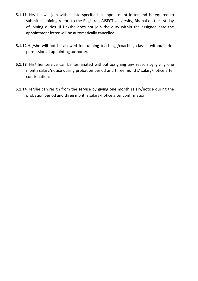- **5.1.11** He/she will join within date specified in appointment letter and is required to submit his joining report to the Registrar, AISECT University, Bhopal on the 1st day of joining duties. If He/she does not join the duty within the assigned date the appointment letter will be automatically cancelled.
- **5.1.12** He/she will not be allowed for running teaching /coaching classes without prior permission of appointing authority.
- **5.1.13** His/ her service can be terminated without assigning any reason by giving one month salary/notice during probation period and three months' salary/notice after confirmation.
- **5.1.14** He/she can resign from the service by giving one month salary/notice during the probation period and three months salary/notice after confirmation.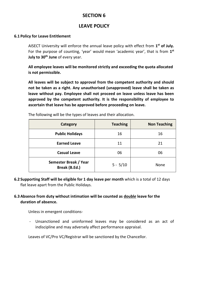# **LEAVE POLICY**

### **6.1 Policy for Leave Entitlement**

AISECT University will enforce the annual leave policy with effect from **1 st of July.**  For the purpose of counting, 'year' would mean 'academic year', that is from 1<sup>st</sup> **July to 30th June** of every year.

**All employee leaves will be monitored strictly and exceeding the quota allocated is not permissible.** 

**All leaves will be subject to approval from the competent authority and should not be taken as a right. Any unauthorised (unapproved) leave shall be taken as leave without pay. Employee shall not proceed on leave unless leave has been approved by the competent authority. It is the responsibility of employee to ascertain that leave has be approved before proceeding on leave.**

| Category                               | <b>Teaching</b> | <b>Non Teaching</b> |
|----------------------------------------|-----------------|---------------------|
| <b>Public Holidays</b>                 | 16              | 16                  |
| <b>Earned Leave</b>                    | 11              | 21                  |
| <b>Casual Leave</b>                    | 06              | 06                  |
| Semester Break / Year<br>Break (B.Ed.) | $5 - 5/10$      | <b>None</b>         |

The following will be the types of leaves and their allocation.

**6.2 Supporting Staff will be eligible for 1 day leave per month** which is a total of 12 days flat leave apart from the Public Holidays.

### **6.3 Absence from duty without intimation will be counted as doubl***e* **leave for the duration of absence.**

Unless in emergent conditions-

- Unsanctioned and uninformed leaves may be considered as an act of indiscipline and may adversely affect performance appraisal.

Leaves of VC/Pro VC/Registrar will be sanctioned by the Chancellor.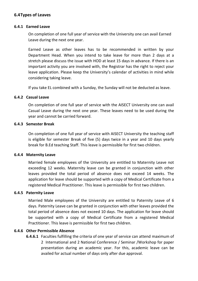### **6.4Types of Leaves**

### **6.4.1 Earned Leave**

On completion of one full year of service with the University one can avail Earned Leave during the next one year.

Earned Leave as other leaves has to be recommended in written by your Department Head. When you intend to take leave for more than 2 days at a stretch please discuss the issue with HOD at least 15 days in advance. If there is an important activity you are involved with, the Registrar has the right to reject your leave application. Please keep the University's calendar of activities in mind while considering taking leave.

If you take EL combined with a Sunday, the Sunday will not be deducted as leave.

#### **6.4.2 Casual Leave**

On completion of one full year of service with the AISECT University one can avail Casual Leave during the next one year. These leaves need to be used during the year and cannot be carried forward.

### **6.4.3 Semester Break**

On completion of one full year of service with AISECT University the teaching staff is eligible for semester Break of five (5) days twice in a year and 10 days yearly break for B.Ed teaching Staff. This leave is permissible for first two children.

#### **6.4.4 Maternity Leave**

Married female employees of the University are entitled to Maternity Leave not exceeding 12 weeks. Maternity leave can be granted in conjunction with other leaves provided the total period of absence does not exceed 14 weeks. The application for leave should be supported with a copy of Medical Certificate from a registered Medical Practitioner. This leave is permissible for first two children.

### **6.4.5 Paternity Leave**

Married Male employees of the University are entitled to Paternity Leave of 6 days. Paternity Leave can be granted in conjunction with other leaves provided the total period of absence does not exceed 10 days. The application for leave should be supported with a copy of Medical Certificate from a registered Medical Practitioner. This leave is permissible for first two children.

### **6.4.6 Other Permissible Absence**

**6.4.6.1** Faculties fulfilling the criteria of one year of service can attend maximum of 2 International and 2 National Conference / Seminar /Workshop for paper presentation during an academic year. For this, academic leave can be availed for actual number of days only after due approval.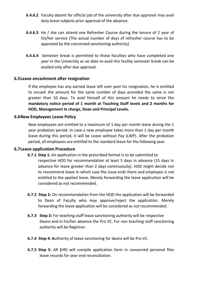- **6.4.6.2** Faculty absent for official job of the university after due approval may avail duty leave subjects prior approval of the absence.
- **6.4.6.3** He / she can attend one Refresher Course during the tenure of 2 year of his/her service (The actual number of days of refresher course has to be approved by the concerned sanctioning authority)
- **6.4.6.4** Semester break is permitted to those faculties who have completed one year in the University as on date to avail this facility semester break can be availed only after due approval.

### **6.5Leave encashment after resignation**

If the employee has any earned leave left over post his resignation, he is entitled to encash the amount for the same number of days provided the same is not greater than 10 days. To avail himself of this amount he needs to serve the **mandatory notice period of 1 month at Teaching Staff levels and 2 months for HOD, Management In charge, Dean and Principal Levels.** 

### **6.6New Employees Leave Policy**

New employees are entitled to a maximum of 1 day per month leave during the 1 year probation period. In case a new employee takes more than 1 day per month leave during this period, it will be Leave without Pay (LWP). After the probation period, all employees are entitled to the standard leave for the following year.

### **6.7Leave application Procedure**

- **6.7.1 Step 1:** An application in the prescribed format is to be submitted to respective HOD for recommendation at least 5 days in advance (15 days in advance for leave greater than 2 days continuously). HOD might decide not to recommend leave in which case the issue ends there and employee is not entitled to the applied leave. Merely forwarding the leave application will be considered as not recommended.
- **6.7.2 Step 2:** On recommendation from the HOD the application will be forwarded to Dean of Faculty who may approve/reject the application. Merely forwarding the leave application will be considered as not recommended.
- **6.7.3 Step 3:** For teaching staff leave sanctioning authority will be respective Deans and in his/her absence the Pro VC. For non teaching staff sanctioning authority will be Registrar.
- **6.7.4 Step 4: A**uthority of leave sanctioning for deans will be Pro VC.
- **6.7.5 Step 5:** AR **(**HR) will compile application form in concerned personal files leave records for year end reconciliation.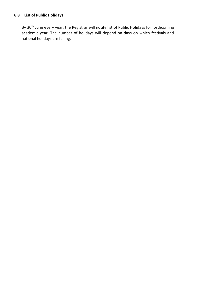By 30<sup>th</sup> June every year, the Registrar will notify list of Public Holidays for forthcoming academic year. The number of holidays will depend on days on which festivals and national holidays are falling.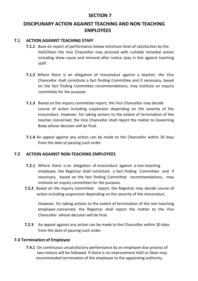# **DISCIPLINARY ACTION AGAINST TEACHING AND NON TEACHING EMPLOYEES**

### **7.1 ACTION AGAINST TEACHING STAFF**

- **7.1.1** Base on report of performance below minimum level of satisfaction by the HoD/Dean the Vice Chancellor may proceed with suitable remedial action including show cause and removal after notice /pay in line against teaching staff.
- **7.1.2** Where there is an allegation of misconduct against a teacher, the Vice Chancellor shall constitute a fact finding Committee and if necessary, based on the fact finding Committee recommendations, may institute an inquiry committee for the purpose.
- **7.1.3** Based on the inquiry committee report, the Vice Chancellor may decide course of action including suspension depending on the severity of the misconduct. However, for taking actions to the extent of termination of the teacher concerned, the Vice Chancellor shall report the matter to Governing Body whose decision will be final.
- **7.1.4** An appeal against any action can be made to the Chancellor within 30 days from the date of passing such order.

### **7.2 ACTION AGAINST NON-TEACHING EMPLOYEES**

- **7.2.1** Where there is an allegation of misconduct against a non-teaching employee, the Registrar shall constitute a fact finding Committee and if necessary, based on the fact finding Committee recommendations, may institute an inquiry committee for the purpose.
- **7.2.2** Based on the inquiry committee report, the Registrar may decide course of action including suspension depending on the severity of the misconduct.

However, for taking actions to the extent of termination of the non-teaching employee concerned, the Registrar shall report the matter to the Vice Chancellor whose decision will be final.

**7.2.3** An appeal against any action can be made to the Chancellor within 30 days from the date of passing such order.

### **7.4 Termination of Employee**

**7.4.1** On continuous unsatisfactory performance by an employee due process of two notices will be followed. If there is no improvement HoD or Dean may recommended termination of the employee to the appointing authority.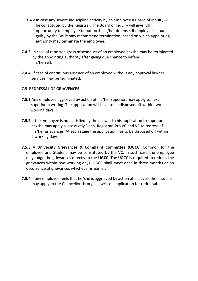- **7.4.2** In case any severe indiscipline activity by an employee a Board of Inquiry will be constituted by the Registrar. The Board of Inquiry will give full opportunity to employee to put forth his/her defense. If employee is found guilty by the BoI it may recommend termination, based on which appointing authority may terminate the employee.
- **7.4.3** In case of reported gross misconduct of an employee he/she may be terminated by the appointing authority after giving due chance to defend his/herself.
- **7.4.4** If case of continuous absence of an employee without any approval his/her services may be terminated.

### **7.5 REDRESSAL OF GRIAVENCES**

- **7.5.1** Any employee aggrieved by action of his/her superior, may apply to next superior in writing. The application will have to be disposed off within two working days.
- **7.5.2** If the employee is not satisfied by the answer to his application to superior he/she may apply successively Dean, Registrar, Pro VC and VC to redress of his/her grievances. At each stage the application has to be disposed off within 2 working days.
- **7.5.3** A **University Grievances & Complaint Committee (UGCC)** Common for the employee and Student may be constituted by the VC. In such case the employee may lodge the grievances directly to the **UGCC.** The UGCC is required to redress the grievances within two working days. UGCC shall meet once in three months or on occurrence of grievances whichever is earlier.
- **7.5.4** If any employee feels that he/she is aggrieved by action at all levels then he/she may apply to the Chancellor through a written application for redressal.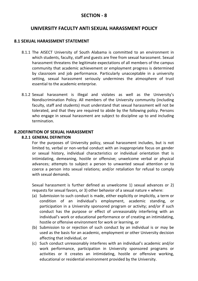### **SECTION - 8**

## **UNIVERSITY FACULTY ANTI SEXUAL HARASSMENT POLICY**

### **8.1 SEXUAL HARASSMENT STATEMENT**

- 8.1.1 The AISECT University of South Alabama is committed to an environment in which students, faculty, staff and guests are free from sexual harassment. Sexual harassment threatens the legitimate expectations of all members of the campus community that academic achievement or employment progress is determined by classroom and job performance. Particularly unacceptable in a university setting, sexual harassment seriously undermines the atmosphere of trust essential to the academic enterprise.
- 8.1.2 Sexual harassment is illegal and violates as well as the University's Nondiscrimination Policy. All members of the University community (including faculty, staff and students) must understand that sexual harassment will not be tolerated, and that they are required to abide by the following policy. Persons who engage in sexual harassment are subject to discipline up to and including termination.

### **8.2DEFINITION OF SEXUAL HARASSMENT**

### **8.2.1 GENERAL DEFINITION**

For the purposes of University policy, sexual harassment includes, but is not limited to, verbal or non-verbal conduct with an inappropriate focus on gender or sexual history, individual characteristics or individual orientation that is intimidating, demeaning, hostile or offensive; unwelcome verbal or physical advances; attempts to subject a person to unwanted sexual attention or to coerce a person into sexual relations; and/or retaliation for refusal to comply with sexual demands.

Sexual harassment is further defined as unwelcome 1) sexual advances or 2) requests for sexual favors, or 3) other behavior of a sexual nature « where:

- (a) Submission to such conduct is made, either explicitly or implicitly, a term or condition of an individual's employment, academic standing, or participation in a University sponsored program or activity; and/or if such conduct has the purpose or effect of unreasonably interfering with an individual's work or educational performance or of creating an intimidating, hostile or offensive environment for work or learning, or
- (b) Submission to or rejection of such conduct by an individual is or may be used as the basis for an academic, employment or other University decision affecting that individual, or
- (c) Such conduct unreasonably interferes with an individual's academic and/or work performance, participation in University sponsored programs or activities or it creates an intimidating, hostile or offensive working, educational or residential environment provided by the University.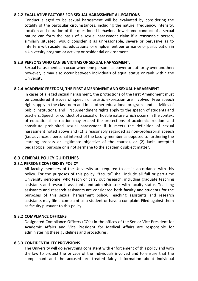#### **8.2.2 EVALUATIVE FACTORS FOR SEXUAL HARASSMENT ALLEGATIONS**

Conduct alleged to be sexual harassment will be evaluated by considering the totality of the particular circumstances, including the nature, frequency, intensity, location and duration of the questioned behavior. Unwelcome conduct of a sexual nature can form the basis of a sexual harassment claim if a reasonable person, similarly situated, would consider it as unreasonable, severe or pervasive as to interfere with academic, educational or employment performance or participation in a University program or activity or residential environment.

### **8.2.3 PERSONS WHO CAN BE VICTIMS OF SEXUAL HARASSMENT.**

Sexual harassment can occur when one person has power or authority over another; however, it may also occur between individuals of equal status or rank within the University.

### **8.2.4 ACADEMIC FREEDOM, THE FIRST AMENDMENT AND SEXUAL HARASSMENT**

In cases of alleged sexual harassment, the protections of the First Amendment must be considered if issues of speech or artistic expression are involved. Free speech rights apply in the classroom and in all other educational programs and activities of public institutions, and First Amendment rights apply to the speech of students and teachers. Speech or conduct of a sexual or hostile nature which occurs in the context of educational instruction may exceed the protections of academic freedom and constitute prohibited sexual harassment if it meets the definition of sexual harassment noted above and (1) is reasonably regarded as non-professorial speech (i.e. advances a personal interest of the faculty member as opposed to furthering the learning process or legitimate objective of the course), or (2) lacks accepted pedagogical purpose or is not germane to the academic subject matter.

### **8.3 GENERAL POLICY GUIDELINES**

### **8.3.1 PERSONS COVERED BY POLICY**

All faculty members of the University are required to act in accordance with this policy. For the purposes of this policy, "faculty" shall include all full or part-time University personnel who teach or carry out research, including graduate teaching assistants and research assistants and administrators with faculty status. Teaching assistants and research assistants are considered both faculty and students for the purposes of this sexual harassment policy. Teaching assistants and research assistants may file a complaint as a student or have a complaint Filed against them as faculty pursuant to this policy.

### **8.3.2 COMPLIANCE OFFICERS**

Designated Compliance Officers (CO's) in the offices of the Senior Vice President for Academic Affairs and Vice President for Medical Affairs are responsible for administering these guidelines and procedures.

#### **8.3.3 CONFIDENTIALITY PROVISIONS**

The University will do everything consistent with enforcement of this policy and with the law to protect the privacy of the individuals involved and to ensure that the complainant and the accused are treated fairly. Information about individual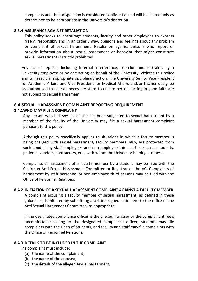complaints and their disposition is considered confidential and will be shared only as determined to be appropriate in the University's discretion.

### **8.3.4 ASSURANCE AGAINST RETALIATION**

This policy seeks to encourage students, faculty and other employees to express freely, responsibly and in an orderly way, opinions and feelings about any problem or complaint of sexual harassment. Retaliation against persons who report or provide information about sexual harassment or behavior that might constitute sexual harassment is strictly prohibited.

Any act of reprisal, including internal interference, coercion and restraint, by a University employee or by one acting on behalf of the University, violates this policy and will result in appropriate disciplinary action. The University Senior Vice President for Academic Affairs and Vice President for Medical Affairs and/or his/her designee are authorized to take all necessary steps to ensure persons acting in good faith are not subject to sexual harassment.

### **8.4 SEXUAL HARASSMENT COMPLAINT REPORTING REQUIREMENT**

### **8.4.1WHO MAY FILE A COMPLAINT**

Any person who believes he or she has been subjected to sexual harassment by a member of the faculty of the University may file a sexual harassment complaint pursuant to this policy.

Although this policy specifically applies to situations in which a faculty member is being charged with sexual harassment, faculty members, also, are protected from such conduct by staff employees and non-employee third parties such as students, patients, vendors, contractors, etc., with whom the University is doing business.

Complaints of harassment of a faculty member by a student may be filed with the Chairman Anti Sexual Harassment Committee or Registrar or the VC. Complaints of harassment by staff personnel or non-employee third persons may be filed with the Office of Personnel Relations.

#### **8.4.2 INITIATION OF A SEXUAL HARASSMENT COMPLAINT AGAINST A FACULTY MEMBER**

A complaint accusing a faculty member of sexual harassment, as defined in these guidelines, is initiated by submitting a written signed statement to the office of the Anti Sexual Harassment Committee, as appropriate.

If the designated compliance officer is the alleged harasser or the complainant feels uncomfortable talking to the designated compliance officer, students may file complaints with the Dean of Students, and faculty and staff may file complaints with the Office of Personnel Relations.

### **8.4.3 DETAILS TO BE INCLUDED IN THE COMPLAINT.**

The complaint must include:

- (a) the name of the complainant,
- (b) the name of the accused,
- (c) the details of the alleged sexual harassment,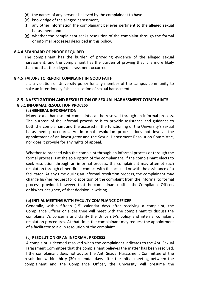- (d) the names of any persons believed by the complainant to have
- (e) knowledge of the alleged harassment,
- (f) any other information the complainant believes pertinent to the alleged sexual harassment, and
- (g) whether the complainant seeks resolution of the complaint through the formal or informal processes described in this policy.

### **8.4.4 STANDARD OF PROOF REQUIRED**

The complainant has the burden of providing evidence of the alleged sexual harassment, and the complainant has the burden of proving that it is more likely than not that the alleged harassment occurred.

### **8.4.5 FAILURE TO REPORT COMPLAINT IN GOOD FAITH**

It is a violation of University policy for any member of the campus community to make an intentionally false accusation of sexual harassment.

#### **8.5 INVESTIGATION AND RESOLUTION OF SEXUAL HARASSMENT COMPLAINTS 8.5.1 INFORMAL RESOLUTION PROCESS**

### **(a) GENERAL INFORMATION**

Many sexual harassment complaints can be resolved through an informal process. The purpose of the informal procedure is to provide assistance and guidance to both the complainant and the accused in the functioning of the University's sexual harassment procedures. An informal resolution process does not involve the appointment of an investigator and the Sexual Harassment Resolution Committee, nor does it provide for any rights of appeal.

Whether to proceed with the complaint through an informal process or through the formal process is at the sole option of the complainant. If the complainant elects to seek resolution through an informal process, the complainant may attempt such resolution through either direct contact with the accused or with the assistance of a facilitator. At any time during an informal resolution process, the complainant may change his/her request for disposition of the complaint from the informal to formal process; provided, however, that the complainant notifies the Compliance Officer, or his/her designee, of that decision in writing.

### **(b) INITIAL MEETING WITH FACULTY COMPLIANCE OFFICER**

Generally, within fifteen (15) calendar days after receiving a complaint, the Compliance Officer or a designee will meet with the complainant to discuss the complainant's concerns and clarify the University's policy and internal complaint resolution procedures. At that time, the complainant may request the appointment of a facilitator to aid in resolution of the complaint.

### **(c) RESOLUTION OF AN INFORMAL PROCESS**

A complaint is deemed resolved when the complainant indicates to the Anti Sexual Harassment Committee that the complainant believes the matter has been resolved. If the complainant does not advise the Anti Sexual Harassment Committee of the resolution within thirty (30) calendar days after the initial meeting between the complainant and the Compliance Officer, the University will presume the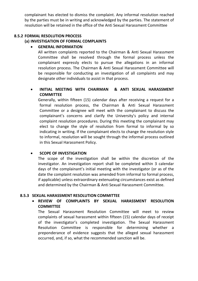complainant has elected to dismiss the complaint. Any informal resolution reached by the parties must be in writing and acknowledged by the parties. The statement of resolution will be retained in the office of the Anti Sexual Harassment Committee

### **8.5.2 FORMAL RESOLUTION PROCESS**

### **(a) INVESTIGATION OF FORMAL COMPLAINTS**

### **GENERAL INFORMATION**

All written complaints reported to the Chairman & Anti Sexual Harassment Committee shall be resolved through the formal process unless the complainant expressly elects to pursue the allegations in an informal resolution process. The Chairman & Anti Sexual Harassment Committee will be responsible for conducting an investigation of all complaints and may designate other individuals to assist in that process.

### **INITIAL MEETING WITH CHAIRMAN & ANTI SEXUAL HARASSMENT COMMITTEE**

Generally, within fifteen (15) calendar days after receiving a request for a formal resolution process, the Chairman & Anti Sexual Harassment Committee or a designee will meet with the complainant to discuss the complainant's concerns and clarify the University's policy and internal complaint resolution procedures. During this meeting the complainant may elect to change the style of resolution from formal to informal by so indicating in writing. If the complainant elects to change the resolution style to informal, resolution will be sought through the informal process outlined in this Sexual Harassment Policy.

### **• SCOPE OF INVESTIGATION**

The scope of the investigation shall be within the discretion of the investigator. An investigation report shall be completed within 3 calendar days of the complainant's initial meeting with the investigator (or as of the date the complaint resolution was amended from informal to formal process, if applicable) unless extraordinary extenuating circumstances exist as defined and determined by the Chairman & Anti Sexual Harassment Committee.

### **8.5.3 SEXUAL HARASSMENT RESOLUTION COMMITTEE**

 **REVIEW OF COMPLAINTS BY SEXUAL HARASSMENT RESOLUTION COMMITTEE**

The Sexual Harassment Resolution Committee will meet to review complaints of sexual harassment within fifteen (15) calendar days of receipt of the investigator's completed investigation. The Sexual Harassment Resolution Committee is responsible for determining whether a preponderance of evidence suggests that the alleged sexual harassment occurred, and, if so, what the recommended sanction will be.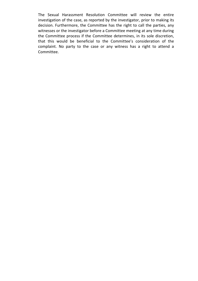The Sexual Harassment Resolution Committee will review the entire investigation of the case, as reported by the investigator, prior to making its decision. Furthermore, the Committee has the right to call the parties, any witnesses or the investigator before a Committee meeting at any time during the Committee process if the Committee determines, in its sole discretion, that this would be beneficial to the Committee's consideration of the complaint. No party to the case or any witness has a right to attend a Committee.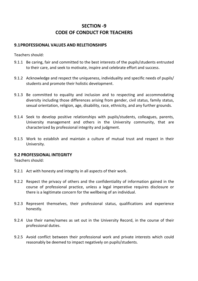# **SECTION -9 CODE OF CONDUCT FOR TEACHERS**

### **9.1PROFESSIONAL VALUES AND RELETIONSHIPS**

Teachers should:

- 9.1.1 Be caring, fair and committed to the best interests of the pupils/students entrusted to their care, and seek to motivate, inspire and celebrate effort and success.
- 9.1.2 Acknowledge and respect the uniqueness, individuality and specific needs of pupils/ students and promote their holistic development.
- 9.1.3 Be committed to equality and inclusion and to respecting and accommodating diversity including those differences arising from gender, civil status, family status, sexual orientation, religion, age, disability, race, ethnicity, and any further grounds.
- 9.1.4 Seek to develop positive relationships with pupils/students, colleagues, parents, University management and others in the University community, that are characterized by professional integrity and judgment.
- 9.1.5 Work to establish and maintain a culture of mutual trust and respect in their University.

### **9.2 PROFESSIONAL INTEGRITY**

Teachers should:

- 9.2.1 Act with honesty and integrity in all aspects of their work.
- 9.2.2 Respect the privacy of others and the confidentiality of information gained in the course of professional practice, unless a legal imperative requires disclosure or there is a legitimate concern for the wellbeing of an individual.
- 9.2.3 Represent themselves, their professional status, qualifications and experience honestly.
- 9.2.4 Use their name/names as set out in the University Record, in the course of their professional duties.
- 9.2.5 Avoid conflict between their professional work and private interests which could reasonably be deemed to impact negatively on pupils/students.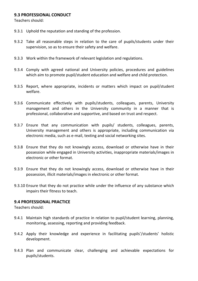### **9.3 PROFESSIONAL CONDUCT**

Teachers should:

- 9.3.1 Uphold the reputation and standing of the profession.
- 9.3.2 Take all reasonable steps in relation to the care of pupils/students under their supervision, so as to ensure their safety and welfare.
- 9.3.3 Work within the framework of relevant legislation and regulations.
- 9.3.4 Comply with agreed national and University policies, procedures and guidelines which aim to promote pupil/student education and welfare and child protection.
- 9.3.5 Report, where appropriate, incidents or matters which impact on pupil/student welfare.
- 9.3.6 Communicate effectively with pupils/students, colleagues, parents, University management and others in the University community in a manner that is professional, collaborative and supportive, and based on trust and respect.
- 9.3.7 Ensure that any communication with pupils/ students, colleagues, parents, University management and others is appropriate, including communication via electronic media, such as e-mail, texting and social networking sites.
- 9.3.8 Ensure that they do not knowingly access, download or otherwise have in their possession while engaged in University activities, inappropriate materials/images in electronic or other format.
- 9.3.9 Ensure that they do not knowingly access, download or otherwise have in their possession, illicit materials/images in electronic or other format.
- 9.3.10 Ensure that they do not practice while under the influence of any substance which impairs their fitness to teach.

#### **9.4 PROFESSIONAL PRACTICE**

Teachers should:

- 9.4.1 Maintain high standards of practice in relation to pupil/student learning, planning, monitoring, assessing, reporting and providing feedback.
- 9.4.2 Apply their knowledge and experience in facilitating pupils'/students' holistic development.
- 9.4.3 Plan and communicate clear, challenging and achievable expectations for pupils/students.